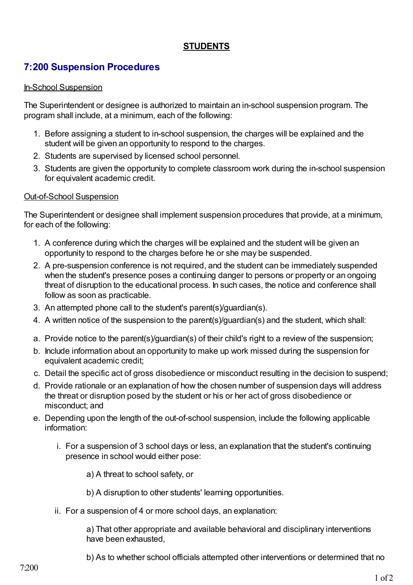## **STUDENTS**

# **7:200 Suspension Procedures**

#### In-School Suspension

The Superintendent or designee is authorized to maintain an in-school suspension program. The program shall include, at a minimum, each of the following:

- 1. Before assigning a student to in-school suspension, the charges will be explained and the student will be given an opportunity to respond to the charges.
- 2. Students are supervised by licensed school personnel.
- 3. Students are given the opportunity to complete classroom work during the in-school suspension for equivalent academic credit.

#### Out-of-School Suspension

The Superintendent or designee shall implement suspension procedures that provide, at a minimum, for each of the following:

- 1. A conference during which the charges will be explained and the student will be given an opportunity to respond to the charges before he or she may be suspended.
- 2. A pre-suspension conference is not required, and the student can be immediately suspended when the student's presence poses a continuing danger to persons or property or an ongoing threat of disruption to the educational process. In such cases, the notice and conference shall follow as soon as practicable.
- 3. An attempted phone call to the student's parent(s)/guardian(s).
- 4. A written notice of the suspension to the parent(s)/guardian(s) and the student, which shall:
- a. Provide notice to the parent(s)/guardian(s) of their child's right to a review of the suspension;
- b. Include information about an opportunity to make up work missed during the suspension for equivalent academic credit;
- c. Detail the specific act of gross disobedience or misconduct resulting in the decision to suspend;
- d. Provide rationale or an explanation of how the chosen number of suspension days will address the threat or disruption posed by the student or his or her act of gross disobedience or misconduct; and
- e. Depending upon the length of the out-of-school suspension, include the following applicable information:
	- i. For a suspension of 3 school days or less, an explanation that the student's continuing presence in school would either pose:
		- a) A threat to school safety, or
		- b) A disruption to other students' learning opportunities.
	- ii. For a suspension of 4 or more school days, an explanation:

a) That other appropriate and available behavioral and disciplinary interventions have been exhausted,

b) As to whether school officials attempted other interventions or determined that no